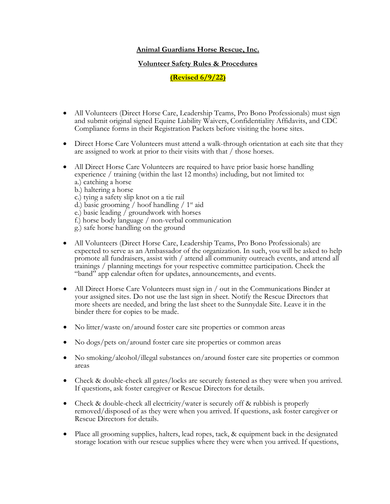## **Animal Guardians Horse Rescue, Inc.**

## **Volunteer Safety Rules & Procedures**

## **(Revised 6/9/22)**

- All Volunteers (Direct Horse Care, Leadership Teams, Pro Bono Professionals) must sign and submit original signed Equine Liability Waivers, Confidentiality Affidavits, and CDC Compliance forms in their Registration Packets before visiting the horse sites.
- Direct Horse Care Volunteers must attend a walk-through orientation at each site that they are assigned to work at prior to their visits with that / those horses.
- All Direct Horse Care Volunteers are required to have prior basic horse handling experience / training (within the last 12 months) including, but not limited to: a.) catching a horse
	- b.) haltering a horse
	- c.) tying a safety slip knot on a tie rail
	- d.) basic grooming / hoof handling /  $1<sup>st</sup>$  aid
	- e.) basic leading / groundwork with horses
	- f.) horse body language / non-verbal communication
	- g.) safe horse handling on the ground
- All Volunteers (Direct Horse Care, Leadership Teams, Pro Bono Professionals) are expected to serve as an Ambassador of the organization. In such, you will be asked to help promote all fundraisers, assist with / attend all community outreach events, and attend all trainings / planning meetings for your respective committee participation. Check the "band" app calendar often for updates, announcements, and events.
- All Direct Horse Care Volunteers must sign in / out in the Communications Binder at your assigned sites. Do not use the last sign in sheet. Notify the Rescue Directors that more sheets are needed, and bring the last sheet to the Sunnydale Site. Leave it in the binder there for copies to be made.
- No litter/waste on/around foster care site properties or common areas
- No dogs/pets on/around foster care site properties or common areas
- No smoking/alcohol/illegal substances on/around foster care site properties or common areas
- Check & double-check all gates/locks are securely fastened as they were when you arrived. If questions, ask foster caregiver or Rescue Directors for details.
- Check & double-check all electricity/water is securely off & rubbish is properly removed/disposed of as they were when you arrived. If questions, ask foster caregiver or Rescue Directors for details.
- Place all grooming supplies, halters, lead ropes, tack, & equipment back in the designated storage location with our rescue supplies where they were when you arrived. If questions,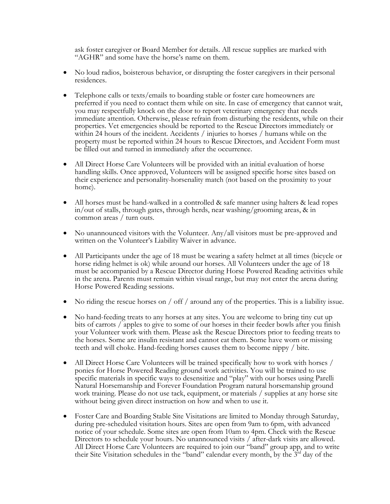ask foster caregiver or Board Member for details. All rescue supplies are marked with "AGHR" and some have the horse's name on them.

- No loud radios, boisterous behavior, or disrupting the foster caregivers in their personal residences.
- Telephone calls or texts/emails to boarding stable or foster care homeowners are preferred if you need to contact them while on site. In case of emergency that cannot wait, you may respectfully knock on the door to report veterinary emergency that needs immediate attention. Otherwise, please refrain from disturbing the residents, while on their properties. Vet emergencies should be reported to the Rescue Directors immediately or within 24 hours of the incident. Accidents / injuries to horses / humans while on the property must be reported within 24 hours to Rescue Directors, and Accident Form must be filled out and turned in immediately after the occurrence.
- All Direct Horse Care Volunteers will be provided with an initial evaluation of horse handling skills. Once approved, Volunteers will be assigned specific horse sites based on their experience and personality-horsenality match (not based on the proximity to your home).
- All horses must be hand-walked in a controlled  $\&$  safe manner using halters  $\&$  lead ropes in/out of stalls, through gates, through herds, near washing/grooming areas, & in common areas / turn outs.
- No unannounced visitors with the Volunteer. Any/all visitors must be pre-approved and written on the Volunteer's Liability Waiver in advance.
- All Participants under the age of 18 must be wearing a safety helmet at all times (bicycle or horse riding helmet is ok) while around our horses. All Volunteers under the age of 18 must be accompanied by a Rescue Director during Horse Powered Reading activities while in the arena. Parents must remain within visual range, but may not enter the arena during Horse Powered Reading sessions.
- No riding the rescue horses on / off / around any of the properties. This is a liability issue.
- No hand-feeding treats to any horses at any sites. You are welcome to bring tiny cut up bits of carrots / apples to give to some of our horses in their feeder bowls after you finish your Volunteer work with them. Please ask the Rescue Directors prior to feeding treats to the horses. Some are insulin resistant and cannot eat them. Some have worn or missing teeth and will choke. Hand-feeding horses causes them to become nippy / bite.
- All Direct Horse Care Volunteers will be trained specifically how to work with horses / ponies for Horse Powered Reading ground work activities. You will be trained to use specific materials in specific ways to desensitize and "play" with our horses using Parelli Natural Horsemanship and Forever Foundation Program natural horsemanship ground work training. Please do not use tack, equipment, or materials / supplies at any horse site without being given direct instruction on how and when to use it.
- Foster Care and Boarding Stable Site Visitations are limited to Monday through Saturday, during pre-scheduled visitation hours. Sites are open from 9am to 6pm, with advanced notice of your schedule. Some sites are open from 10am to 4pm. Check with the Rescue Directors to schedule your hours. No unannounced visits / after-dark visits are allowed. All Direct Horse Care Volunteers are required to join our "band" group app, and to write their Site Visitation schedules in the "band" calendar every month, by the  $3<sup>rd</sup>$  day of the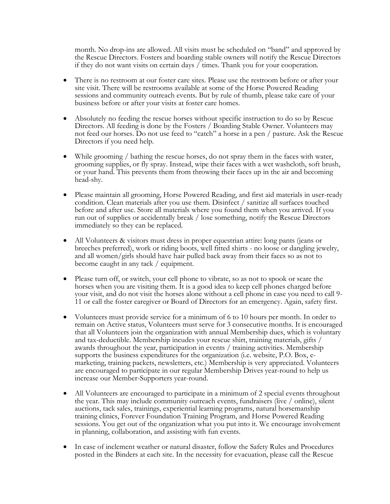month. No drop-ins are allowed. All visits must be scheduled on "band" and approved by the Rescue Directors. Fosters and boarding stable owners will notify the Rescue Directors if they do not want visits on certain days / times. Thank you for your cooperation.

- There is no restroom at our foster care sites. Please use the restroom before or after your site visit. There will be restrooms available at some of the Horse Powered Reading sessions and community outreach events. But by rule of thumb, please take care of your business before or after your visits at foster care homes.
- Absolutely no feeding the rescue horses without specific instruction to do so by Rescue Directors. All feeding is done by the Fosters / Boarding Stable Owner. Volunteers may not feed our horses. Do not use feed to "catch" a horse in a pen / pasture. Ask the Rescue Directors if you need help.
- While grooming / bathing the rescue horses, do not spray them in the faces with water, grooming supplies, or fly spray. Instead, wipe their faces with a wet washcloth, soft brush, or your hand. This prevents them from throwing their faces up in the air and becoming head-shy.
- Please maintain all grooming, Horse Powered Reading, and first aid materials in user-ready condition. Clean materials after you use them. Disinfect / sanitize all surfaces touched before and after use. Store all materials where you found them when you arrived. If you run out of supplies or accidentally break / lose something, notify the Rescue Directors immediately so they can be replaced.
- All Volunteers & visitors must dress in proper equestrian attire: long pants (jeans or breeches preferred), work or riding boots, well fitted shirts - no loose or dangling jewelry, and all women/girls should have hair pulled back away from their faces so as not to become caught in any tack / equipment.
- Please turn off, or switch, your cell phone to vibrate, so as not to spook or scare the horses when you are visiting them. It is a good idea to keep cell phones charged before your visit, and do not visit the horses alone without a cell phone in case you need to call 9- 11 or call the foster caregiver or Board of Directors for an emergency. Again, safety first.
- Volunteers must provide service for a minimum of 6 to 10 hours per month. In order to remain on Active status, Volunteers must serve for 3 consecutive months. It is encouraged that all Volunteers join the organization with annual Membership dues, which is voluntary and tax-deductible. Membership incudes your rescue shirt, training materials, gifts / awards throughout the year, participation in events / training activities. Membership supports the business expenditures for the organization (i.e. website, P.O. Box, emarketing, training packets, newsletters, etc.) Membership is very appreciated. Volunteers are encouraged to participate in our regular Membership Drives year-round to help us increase our Member-Supporters year-round.
- All Volunteers are encouraged to participate in a minimum of 2 special events throughout the year. This may include community outreach events, fundraisers (live / online), silent auctions, tack sales, trainings, experiential learning programs, natural horsemanship training clinics, Forever Foundation Training Program, and Horse Powered Reading sessions. You get out of the organization what you put into it. We encourage involvement in planning, collaboration, and assisting with fun events.
- In case of inclement weather or natural disaster, follow the Safety Rules and Procedures posted in the Binders at each site. In the necessity for evacuation, please call the Rescue